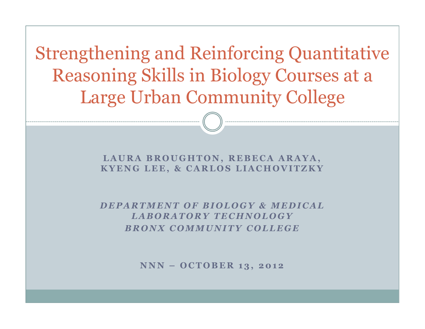Strengthening and Reinforcing Quantitative Reasoning Skills in Biology Courses at a Large Urban Community College

> LAURA BROUGHTON, REBECA ARAYA, KYENG LEE, & CARLOS LIACHOVITZKY

> DEPARTMENT OF BIOLOGY & MEDICAL LABORATORY TECHNOLOGY **BRONX COMMUNITY COLLEGE**

> > NNN - OCTOBER 13, 2012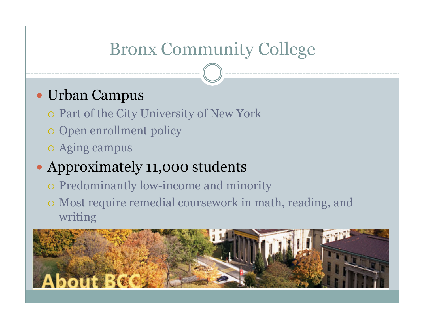### Bronx Community College

#### Urban Campus

- Part of the City University of New York
- o Open enrollment policy
- Aging campus

### Approximately 11,000 students

- o Predominantly low-income and minority
- Most require remedial coursework in math, reading, and writing

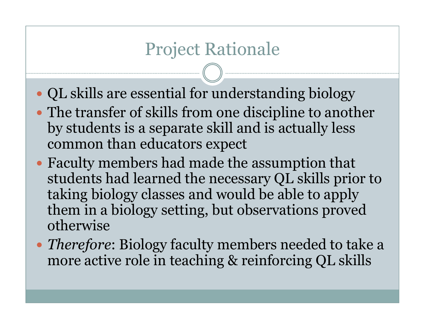#### Project Rationale

- QL skills are essential for understanding biology
- The transfer of skills from one discipline to another by students is a separate skill and is actually less common than educators expect
- Faculty members had made the assumption that students had learned the necessary QL skills prior to taking biology classes and would be able to apply them in a biology setting, but observations proved otherwise
- *Therefore*: Biology faculty members needed to take a more active role in teaching & reinforcing QL skills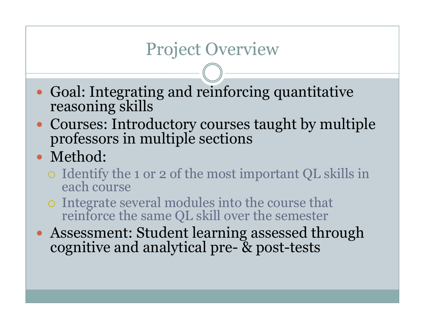### Project Overview

- $\bullet$ Goal: Integrating and reinforcing quantitative reasoning skills
- Courses: Introductory courses taught by multiple professors in multiple sections
- Method:
	- Identify the 1 or 2 of the most important QL skills in each course
	- Integrate several modules into the course that reinforce the same QL skill over the semester
- Assessment: Student learning assessed through cognitive and analytical pre- & post-tests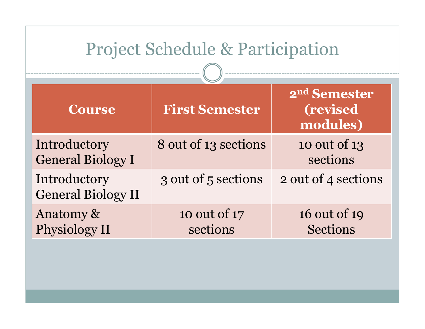| <b>Project Schedule &amp; Participation</b> |                          |                                                          |  |  |
|---------------------------------------------|--------------------------|----------------------------------------------------------|--|--|
| <b>Course</b>                               | <b>First Semester</b>    | 2 <sup>nd</sup> Semester<br><i>(revised)</i><br>modules) |  |  |
| Introductory<br><b>General Biology I</b>    | 8 out of 13 sections     | 10 out of 13<br>sections                                 |  |  |
| Introductory<br><b>General Biology II</b>   | 3 out of 5 sections      | 2 out of 4 sections                                      |  |  |
| Anatomy &<br>Physiology II                  | 10 out of 17<br>sections | 16 out of 19<br><b>Sections</b>                          |  |  |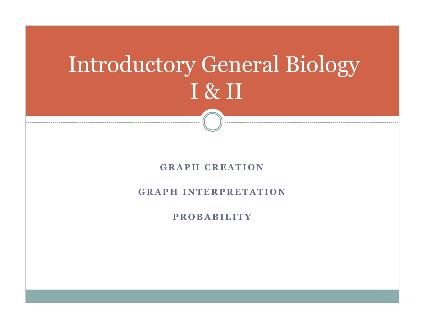# Introductory General BiologyI & II

#### $R$  **<b>CRAPH CREATION**

#### **GRAPH INTERPRETATION**

#### **<sup>P</sup> <sup>R</sup> <sup>O</sup> <sup>B</sup> <sup>A</sup> <sup>B</sup> <sup>I</sup> <sup>L</sup> <sup>I</sup> <sup>T</sup> <sup>Y</sup>**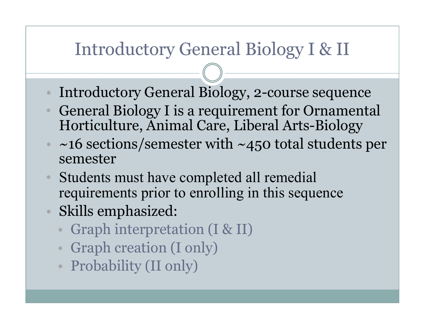#### Introductory General Biology I & II

- $\bullet$ Introductory General Biology, 2-course sequence
- General Biology I is a requirement for Ornamental  $\bullet$ Horticulture, Animal Care, Liberal Arts-Biology
- $\sim$  ~16 sections/semester with ~450 total students per semester
- $\bullet$  Students must have completed all remedial requirements prior to enrolling in this sequence
- Skills emphasized:
	- $\bullet$ Graph interpretation (I & II)
	- Graph creation (I only)
	- Probability (II only)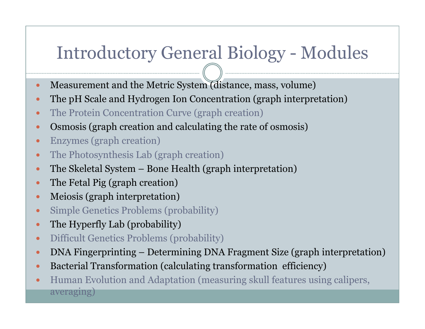## Introductory General Biology - Modules

- $\bullet$ Measurement and the Metric System (distance, mass, volume)
- $\bullet$ The pH Scale and Hydrogen Ion Concentration (graph interpretation)
- $\bullet$ The Protein Concentration Curve (graph creation)
- $\bullet$ Osmosis (graph creation and calculating the rate of osmosis)
- $\bullet$ Enzymes (graph creation)
- $\bullet$ The Photosynthesis Lab (graph creation)
- $\bullet$ • The Skeletal System – Bone Health (graph interpretation)
- $\bullet$ The Fetal Pig (graph creation)
- $\bullet$ Meiosis (graph interpretation)
- $\bullet$ Simple Genetics Problems (probability)
- $\bullet$ The Hyperfly Lab (probability)
- $\bullet$ Difficult Genetics Problems (probability)
- $\bullet$ DNA Fingerprinting – Determining DNA Fragment Size (graph interpretation)
- $\bullet$ Bacterial Transformation (calculating transformation efficiency)
- $\bullet$  Human Evolution and Adaptation (measuring skull features using calipers, averaging)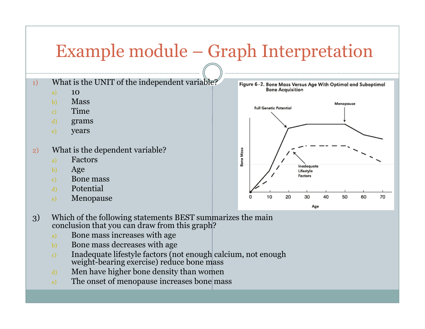## Example module – Graph Interpretation

- 1)What is the UNIT of the independent variable?
	- a)<sup>10</sup>
	- Massb)
	- Timec)
	- d)grams
	- e)years
- 2) What is the dependent variable?
	- a)Factors
	- b)Age
	- Bone massc)
	- d)Potential
	- e)Menopause



- 3) Which of the following statements BEST summarizes the main conclusion that you can draw from this graph?
	- a)Bone mass increases with age
	- Bone mass decreases with ageb)
	- Inadequate lifestyle factors (not enough calcium, not enough weight-bearing exercise) reduce bone massc)
	- Men have higher bone density than womend)
	- ) The onset of menopause increases bone mass e)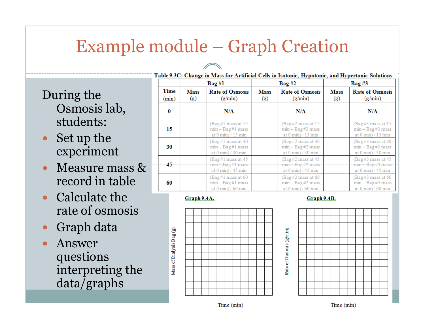### Example module – Graph Creation

- During the Osmosis lab, students:
- Set up the experiment
- Measure mass & record in table
- Calculate the rate of osmosis
- $\bullet$ Graph data
- $\bullet$  Answer questions interpreting the data/graphs

|                      | Bag#l              |                                                                                     | Bag#2              |                                                                                                 | $Bag \#3$          |                                                                                        |  |
|----------------------|--------------------|-------------------------------------------------------------------------------------|--------------------|-------------------------------------------------------------------------------------------------|--------------------|----------------------------------------------------------------------------------------|--|
| <b>Time</b><br>(min) | <b>Mass</b><br>(g) | <b>Rate of Osmosis</b><br>(g/min)                                                   | <b>Mass</b><br>(g) | <b>Rate of Osmosis</b><br>(g/min)                                                               | <b>Mass</b><br>(g) | <b>Rate of Osmosis</b><br>(g/min)                                                      |  |
| $\bf{0}$             |                    | N/A                                                                                 |                    | N/A                                                                                             |                    | N/A                                                                                    |  |
| 15                   |                    | (Bag#1 mass at 15<br>$min - Bag #1 mass$<br>at $0 \text{ min}$ $/ 15 \text{ min}$   |                    | (Bag#2 mass at 15<br>$min - Bag #2 mass$<br>at $0 \text{ min}$ $/ 15 \text{ min}$               |                    | $(Bag \#3 mass at 15$<br>$min - Bag \#3 mass$<br>at $0 \text{ min}$ $/ 15 \text{ min}$ |  |
| 30                   |                    | (Bag#1 mass at 30)<br>$min - Bag$ #1 mass<br>at $0 \text{ min}$ $/ 30 \text{ min}$  |                    | (Bag#2 mass at 30<br>$min - Bag$ #2 mass<br>at $0 \text{ min}$ $/ 30 \text{ min}$               |                    | (Bag #3 mass at 30)<br>$min - Bag$ #3 mass<br>at $0 \text{ min}$ $/ 30 \text{ min}$    |  |
| 45                   |                    | (Bag #1 mass at 45)<br>$min - Bag #1 mass$<br>at $0 \text{ min}$ $/ 45 \text{ min}$ |                    | $(Bag \#2 \text{ mass at } 45)$<br>$min - Bag$ #2 mass<br>at $0 \text{ min}$ $/ 45 \text{ min}$ |                    | $(Bag \#3$ mass at 45<br>$min - Bag$ #3 mass<br>at $0 \text{ min}$ $/ 45 \text{ min}$  |  |
| 60                   |                    | (Bag #1 mass at 60)<br>$min - Bag#1 mass$<br>at $0 \text{ min}$ / 60 min            |                    | $(Bag \#2 \text{ mass at } 60)$<br>$min - Bag #2 mass$<br>at $0 \text{ min}$ / 60 min           |                    | $(Bag \#3 mass at 60)$<br>$min - Bag$ #3 mass<br>at $0 \text{ min}$ / 60 min           |  |

Rate of Osmosis (g/min)

#### Graph 9.4A.



Graph 9.4B.



Time (min)

Time (min)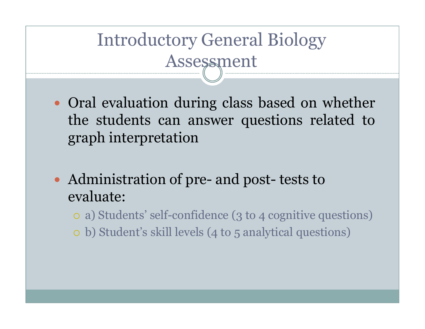## Introductory General Biology Assessment

- Oral evaluation during class based on whether<br>The students can answer questions related to the students can answer questions related to grap<sup>h</sup> interpretation
- $\bullet$  Administration of pre- and post- tests to evaluate:
	- a) Students' self-confidence (3 to 4 cognitive questions)
	- b) Student's skill levels (4 to 5 analytical questions)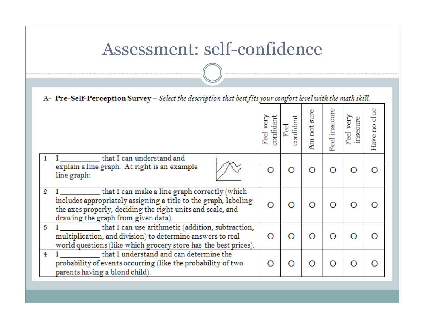#### Assessment: self-confidence

|                | A- Pre-Self-Perception Survey - Select the description that best fits your comfort level with the math skill.                                                                                                         |                        |                          |                |                  |                          |               |
|----------------|-----------------------------------------------------------------------------------------------------------------------------------------------------------------------------------------------------------------------|------------------------|--------------------------|----------------|------------------|--------------------------|---------------|
|                |                                                                                                                                                                                                                       | confident<br>ķ<br>Feel | <b>ponfident</b><br>Feel | sure<br>Am not | insecure<br>Feel | yery<br>insecure<br>Feel | Have no clue  |
|                | that I can understand and<br>explain a line graph. At right is an example<br>line graph:                                                                                                                              | O                      | O                        | O              | O                |                          | O             |
| 2              | that I can make a line graph correctly (which<br>includes appropriately assigning a title to the graph, labeling<br>the axes properly, deciding the right units and scale, and<br>drawing the graph from given data). | O                      | O                        | O              | $\epsilon$       |                          | Ω             |
| s              | that I can use arithmetic (addition, subtraction,<br>multiplication, and division) to determine answers to real-<br>world questions (like which grocery store has the best prices).                                   |                        | Ω                        | O              | O                |                          | Ω             |
| $\overline{4}$ | that I understand and can determine the<br>probability of events occurring (like the probability of two<br>parents having a blond child).                                                                             | Ω                      | O                        | O              | $\Omega$         |                          | $\mathcal{C}$ |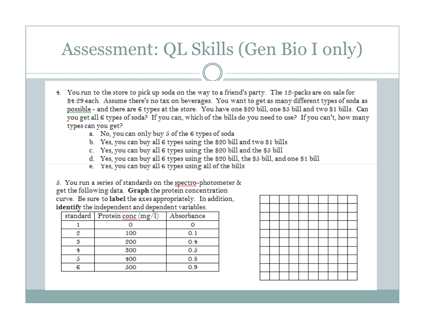### Assessment: QL Skills (Gen Bio I only)

- 4. You run to the store to pick up soda on the way to a friend's party. The 12-packs are on sale for \$4.29 each. Assume there's no tax on beverages. You want to get as many different types of soda as possible - and there are 6 types at the store. You have one \$20 bill, one \$5 bill and two \$1 bills. Can you get all 6 types of soda? If you can, which of the bills do you need to use? If you can't, how many types can you get?
	- a. No, you can only buy 5 of the 6 types of soda
	- b. Yes, you can buy all 6 types using the \$20 bill and two \$1 bills
	- c. Yes, you can buy all 6 types using the \$20 bill and the \$5 bill
	- d. Yes, you can buy all 6 types using the \$20 bill, the \$5 bill, and one \$1 bill
	- e. Yes, you can buy all 6 types using all of the bills

5. You run a series of standards on the spectro-photometer & get the following data. Graph the protein concentration curve. Be sure to label the axes appropriately. In addition, identify the independent and dependent variables.

|   | standard   Protein conc (mg/l) | Absorbance |
|---|--------------------------------|------------|
|   |                                |            |
| 9 | 100                            | 0.1        |
|   | 200                            | 0.4        |
|   | 500                            | 0.5        |
|   | 400                            | 0.8        |
|   | 500                            | 0.9        |

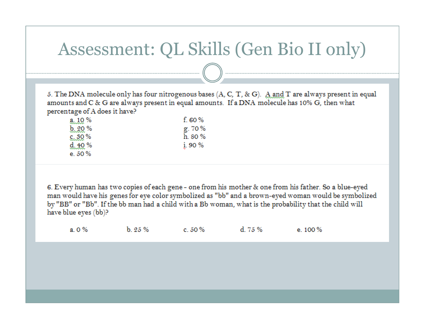#### Assessment: QL Skills (Gen Bio II only)

5. The DNA molecule only has four nitrogenous bases (A, C, T, & G). A and T are always present in equal amounts and C & G are always present in equal amounts. If a DNA molecule has 10% G, then what percentage of A does it have?

| $a_{11}0\%$  | f. 60 $%$ |
|--------------|-----------|
| b.20%        | g. 70%    |
| 6.30%        | h. 80 %   |
| $d_{2,10}$ % | i.90%     |
| e. 50 %      |           |

6. Every human has two copies of each gene - one from his mother & one from his father. So a blue-eyed man would have his genes for eye color symbolized as "bb" and a brown-eyed woman would be symbolized by "BB" or "Bb". If the bb man had a child with a Bb woman, what is the probability that the child will have blue eyes (bb)?

 $b.25%$ d. 75 %  $a.0\%$  $c.50\%$ e.  $100\%$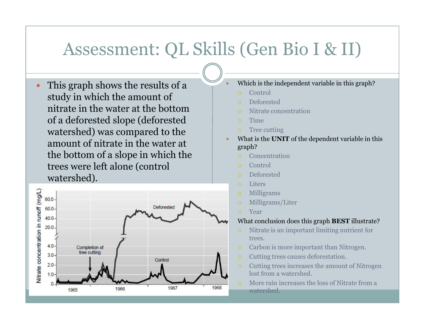#### Assessment: QL Skills (Gen Bio I & II)

0

 $\bullet$  This graph shows the results of a study in which the amount of nitrate in the water at the bottom of a deforested slope (deforested watershed) was compared to the amount of nitrate in the water at the bottom of a slope in which the trees were left alone (control watershed).



- Which is the independent variable in this graph?
	- Control
	- Deforested
	- Nitrate concentration
	- **Time**
	- Tree cutting
- O What is the **UNIT** of the dependent variable in this graph?
	- Concentration
	- $\Omega$ Control
	- $\circ$ Deforested
	- **Liters**
	- Milligrams
	- Milligrams/Liter
	- Year

#### What conclusion does this graph **BEST** illustrate?

- Nitrate is an important limiting nutrient for trees.
- Carbon is more important than Nitrogen.
- $\Omega$ Cutting trees causes deforestation.
- Cutting trees increases the amount of Nitrogen lost from a watershed.
- More rain increases the loss of Nitrate from a watershed.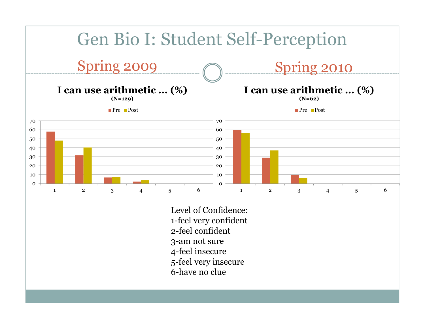

1-feel very confident2-feel confident3-am not sure 4-feel insecure 5-feel very insecure6-have no clue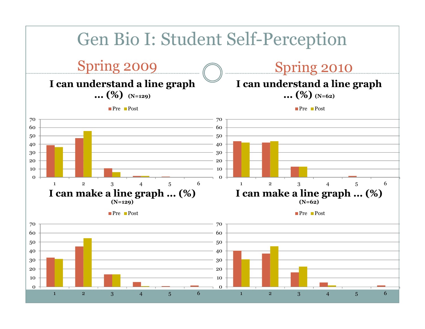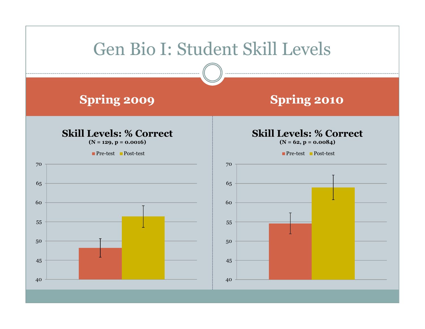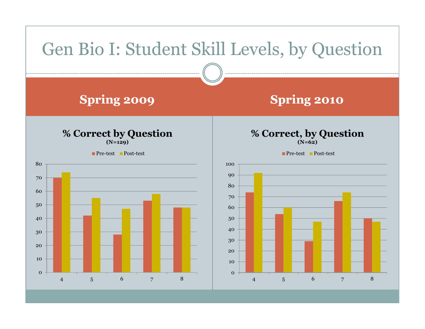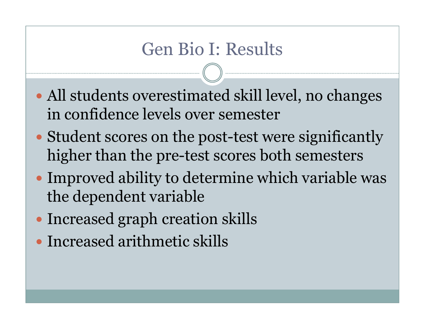#### Gen Bio I: Results

- $\bullet$  All students overestimated skill level, no changes in confidence levels over semester
- $\bullet$  Student scores on the post-test were significantly higher than the pre-test scores both semesters
- $\bullet$  Improved ability to determine which variable was the dependent variable
- $\bullet$ Increased graph creation skills
- $\bullet$ Increased arithmetic skills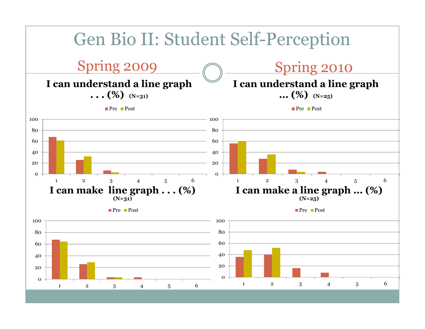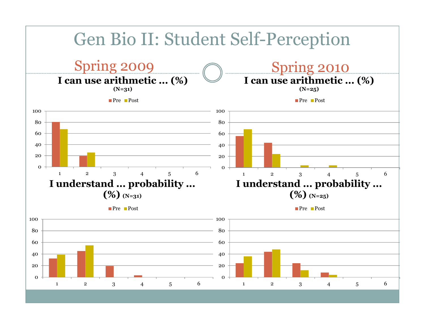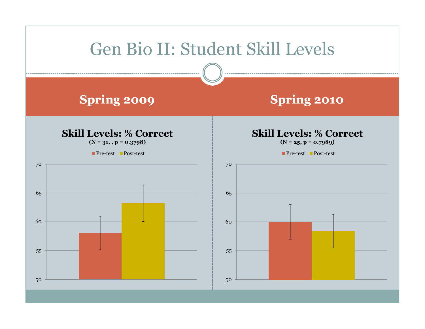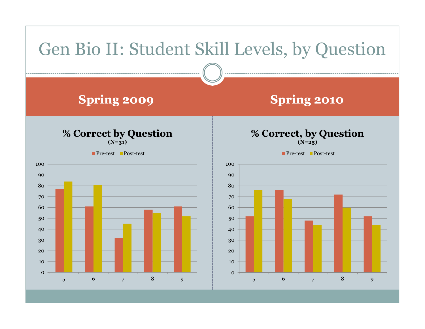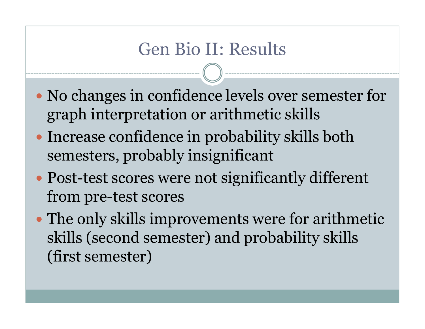### Gen Bio II: Results

- $\bullet$  No changes in confidence levels over semester for graph interpretation or arithmetic skills
- $\bullet$  Increase confidence in probability skills both semesters, probably insignificant
- $\bullet$  Post-test scores were not significantly different from pre-test scores
- $\bullet$  The only skills improvements were for arithmetic skills (second semester) and probability skills (first semester)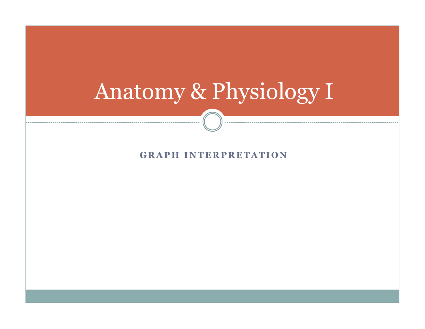## Anatomy & Physiology I

#### **GRAPH INTERPRETATION**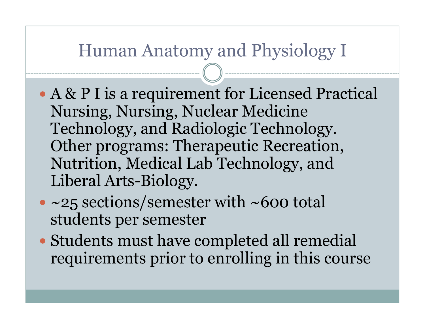#### Human Anatomy and Physiology I

- $\bullet$  A & P I is a requirement for Licensed Practical Nursing, Nursing, Nuclear Medicine Technology, and Radiologic Technology. Other programs: Therapeutic Recreation, Nutrition, Medical Lab Technology, and Liberal Arts-Biology.
- $\bullet$ • ~25 sections/semester with ~600 total students per semester
- $\bullet$  Students must have completed all remedial requirements prior to enrolling in this course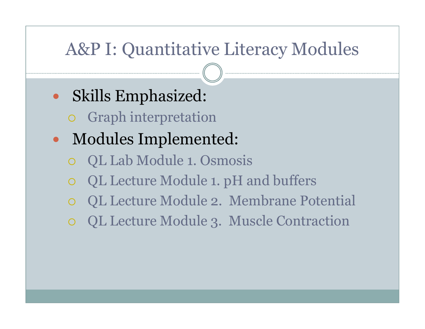### A&P I: Quantitative Literacy Modules

- $\bullet$  Skills Emphasized:
	- Graph interpretation
- $\bullet$  Modules Implemented:
	- $\bigcirc$ QL Lab Module 1. Osmosis
	- QL Lecture Module 1. pH and buffers
	- QL Lecture Module 2. Membrane Potential
	- $\bigcirc$ QL Lecture Module 3. Muscle Contraction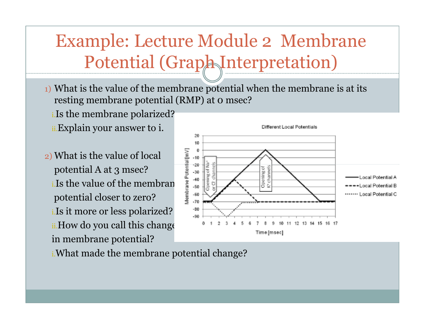Example: Lecture Module 2 Membrane Potential (Graph Interpretation)

- $_1$ ) What is the value of the membrane potential when the membrane is at its resting membrane potential (RMP) at 0 msec?
	- i.Is the membrane polarized?
	- ii.Explain your answer to i.
- 2) What is the value of local potential A at 3 msec?i. Is the value of the membran potential closer to zero?i.Is it more or less polarized?ii.How do you call this change in membrane potential?



i.What made the membrane potential change?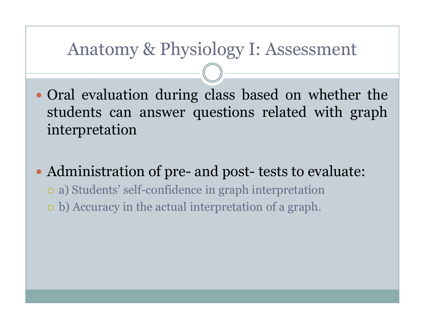#### Anatomy & Physiology I: Assessment

- Oral evaluation during class based on whether the<br>students can answer questions related with graph students can answer questions related with grap<sup>h</sup> interpretation
- Administration of pre and post - tests to evaluate: a) Students' self-confidence in grap<sup>h</sup> interpretation b) Accuracy in the actual interpretation of <sup>a</sup> graph.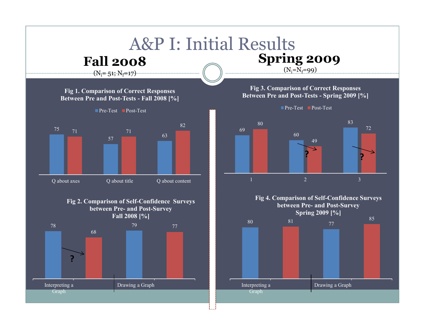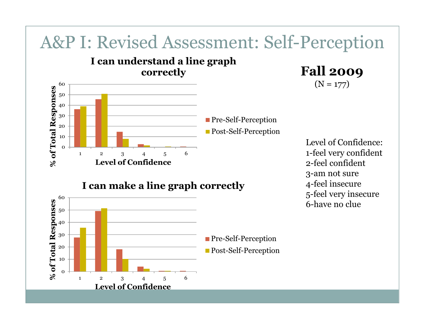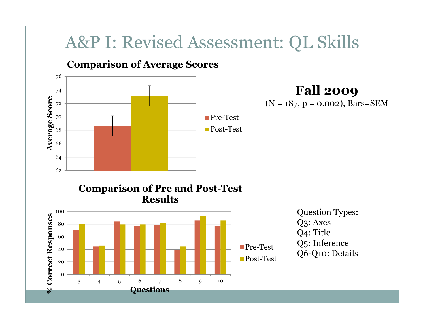#### A&P I: Revised Assessment: QL Skills

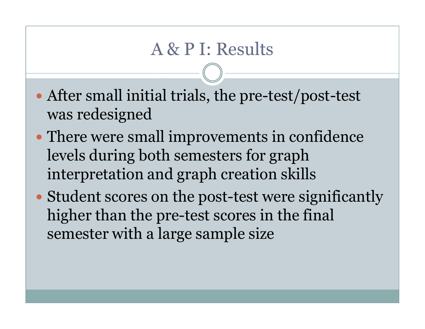#### A & P I: Results

- $\bullet$  After small initial trials, the pre-test/post-test was redesigned
- $\bullet$  There were small improvements in confidence levels during both semesters for graph interpretation and graph creation skills
- $\bullet$  Student scores on the post-test were significantly higher than the pre-test scores in the final semester with a large sample size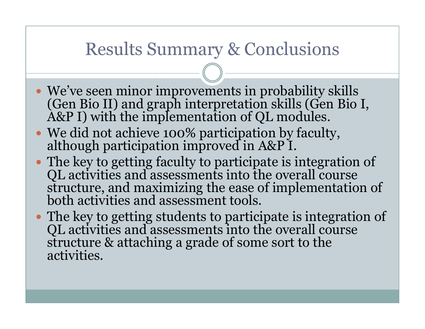#### Results Summary & Conclusions

- We've seen minor improvements in probability skills (Gen Bio II) and graph interpretation skills (Gen Bio I, A&P I) with the implementation of QL modules.
- We did not achieve 100% participation by faculty, although participation improved in A&P I.
- The key to getting faculty to participate is integration of QL activities and assessments into the overall course structure, and maximizing the ease of implementation of<br>both activities and assessment tools.
- The key to getting students to participate is integration of QL activities and assessments into the overall course structure & attaching a grade of some sort to the activities.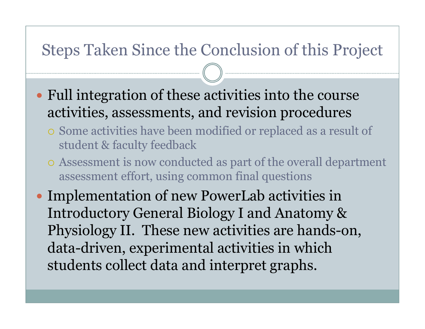#### Steps Taken Since the Conclusion of this Project

- Full integration of these activities into the course activities, assessments, and revision procedures
	- Some activities have been modified or replaced as a result of student & faculty feedback
	- o Assessment is now conducted as part of the overall department assessment effort, using common final questions
- Implementation of new PowerLab activities in<br>Introductory General Biology Land Anatomy & Introductory General Biology I and Anatomy & Physiology II. These new activities are hands-on, data-driven, experimental activities in which students collect data and interpret graphs.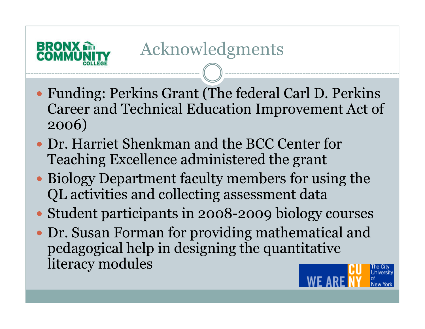

- Funding: Perkins Grant (The federal Carl D. Perkins Career and Technical Education Improvement Act of 2006)
- Dr. Harriet Shenkman and the BCC Center for<br>Teaching Excellence administered the grant Teaching Excellence administered the grant
- Biology Department faculty members for using the QL activities and collecting assessment data
- Student participants in 2008-2009 biology courses
- Dr. Susan Forman for providing mathematical and pedagogical help in designing the quantitative literacy modules